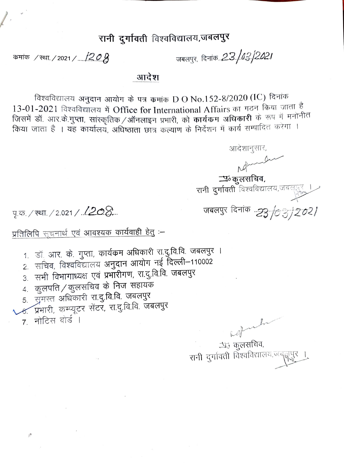## रानी दुर्गावती विश्वविद्यालय,जबलपुर

कमांक / स्था. / 2021 / .... 120  $\beta$ 

जबलपुर, दिनांक..*2.3./03./2021* 

## आदेश

विश्वविद्यालय अनुदान आयोग के पत्र कमांक D O No.152-8/2020 (IC) दिनांक 13-01-2021 विश्वविद्यालय में Office for International Affairs का गठन किया जाता है जिसमें डॉ. आर.के.गुप्ता, सांस्कृतिक /ऑनलाइन प्रभारी, को कार्यकम अधिकारी के रूप में मनोनीत किया जाता है । यह कार्यालय, अधिष्ठाता छात्र कल्याण के निर्देशन में कार्य सम्पादित करेगा ।

आदेशानुसार, <u>प</u>ञ्कुलसचिव, रानी दुर्गावती विश्वविद्यालय,जबलपुर जबलपुर दिनांक *...23. /0 3. / 2* 

पृ.क. / स्था. / 2.021 / . **/ 20 &**...

## प्रतिलिपि सूचनार्थ एवं आवश्यक कार्यवाही हेतु :-

- 1. डॉ<sub>:</sub> आर. के. गुप्ता, कार्यक्रम अधिकारी रा.दु.वि.वि. जबलपुर ।
- 2. सचिव, विश्वविद्यालय अनुदान आयोग नई दिल्ली–110002
- 3. सभी विभागाध्यक्ष एवं प्रभारीगण, रा.दु.वि.वि. जबलपुर
- 4. कुलपति / कुलसचिव के निज सहायक
- 5. जुमस्त अधिकारी रा.दु.वि.वि. जबलपुर
- <u>४. प्रभारी, कम्प्यूटर सेंटर, रा.दु.वि.वि. जबलपुर</u>
- 7. नोटिस बोर्ड।

 $\beta^{\rm B}$ 

 $h$ 

*<u>ंजिल्लसचिव,</u>* रानी दुर्गावती विश्वविद्यालय,जब